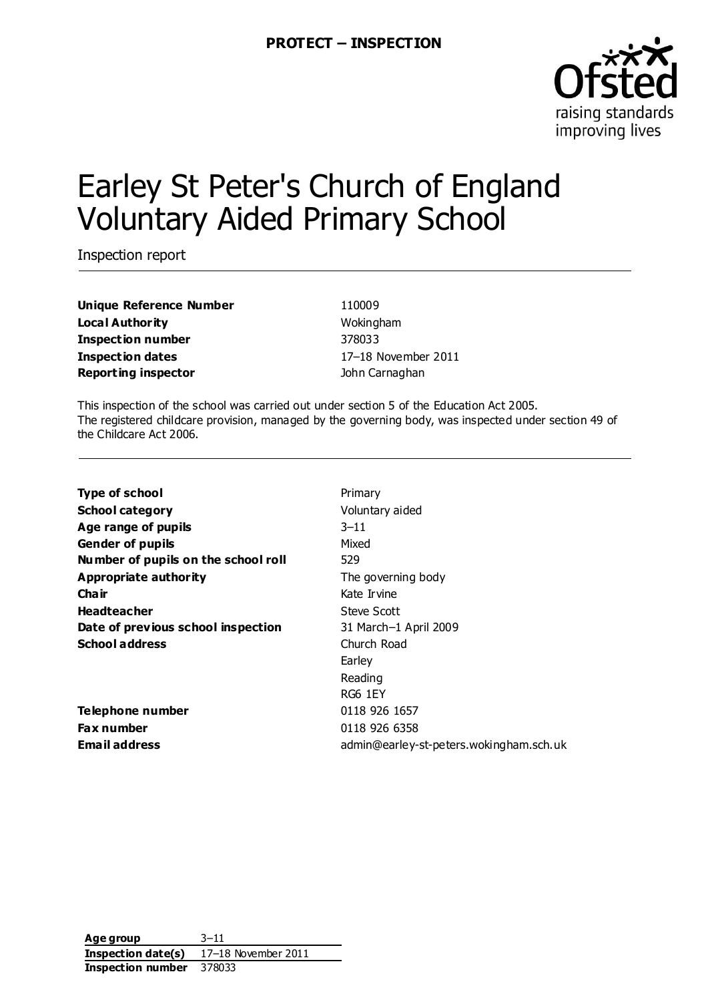

# Earley St Peter's Church of England Voluntary Aided Primary School

Inspection report

**Unique Reference Number** 110009 **Local Authority Music Contract Authority** Wokingham **Inspection number** 378033 **Inspection dates** 17–18 November 2011 **Reporting inspector Contract Contract Contract Contract Contract Contract Contract Contract Contract Contract Contract Contract Contract Contract Contract Contract Contract Contract Contract Contract Contract Contract C** 

This inspection of the school was carried out under section 5 of the Education Act 2005. The registered childcare provision, managed by the governing body, was inspected under section 49 of the Childcare Act 2006.

| <b>Type of school</b>               | Primary                                 |
|-------------------------------------|-----------------------------------------|
| <b>School category</b>              | Voluntary aided                         |
| Age range of pupils                 | $3 - 11$                                |
| <b>Gender of pupils</b>             | Mixed                                   |
| Number of pupils on the school roll | 529                                     |
| <b>Appropriate authority</b>        | The governing body                      |
| Cha ir                              | Kate Irvine                             |
| <b>Headteacher</b>                  | Steve Scott                             |
| Date of previous school inspection  | 31 March-1 April 2009                   |
| <b>School address</b>               | Church Road                             |
|                                     | Earley                                  |
|                                     | Reading                                 |
|                                     | RG6 1EY                                 |
| Telephone number                    | 0118 926 1657                           |
| Fax number                          | 0118 926 6358                           |
| <b>Email address</b>                | admin@earley-st-peters.wokingham.sch.uk |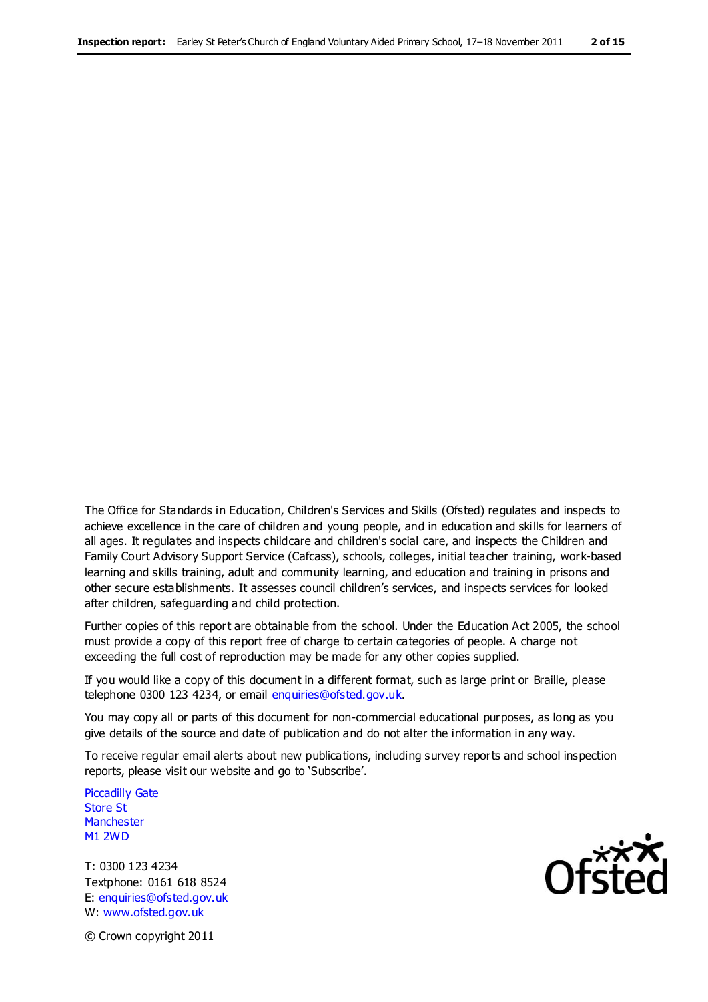The Office for Standards in Education, Children's Services and Skills (Ofsted) regulates and inspects to achieve excellence in the care of children and young people, and in education and skills for learners of all ages. It regulates and inspects childcare and children's social care, and inspects the Children and Family Court Advisory Support Service (Cafcass), schools, colleges, initial teacher training, work-based learning and skills training, adult and community learning, and education and training in prisons and other secure establishments. It assesses council children's services, and inspects services for looked after children, safeguarding and child protection.

Further copies of this report are obtainable from the school. Under the Education Act 2005, the school must provide a copy of this report free of charge to certain categories of people. A charge not exceeding the full cost of reproduction may be made for any other copies supplied.

If you would like a copy of this document in a different format, such as large print or Braille, please telephone 0300 123 4234, or email enquiries@ofsted.gov.uk.

You may copy all or parts of this document for non-commercial educational purposes, as long as you give details of the source and date of publication and do not alter the information in any way.

To receive regular email alerts about new publications, including survey reports and school inspection reports, please visit our website and go to 'Subscribe'.

Piccadilly Gate Store St **Manchester** M1 2WD

T: 0300 123 4234 Textphone: 0161 618 8524 E: enquiries@ofsted.gov.uk W: www.ofsted.gov.uk

**Ofsted** 

© Crown copyright 2011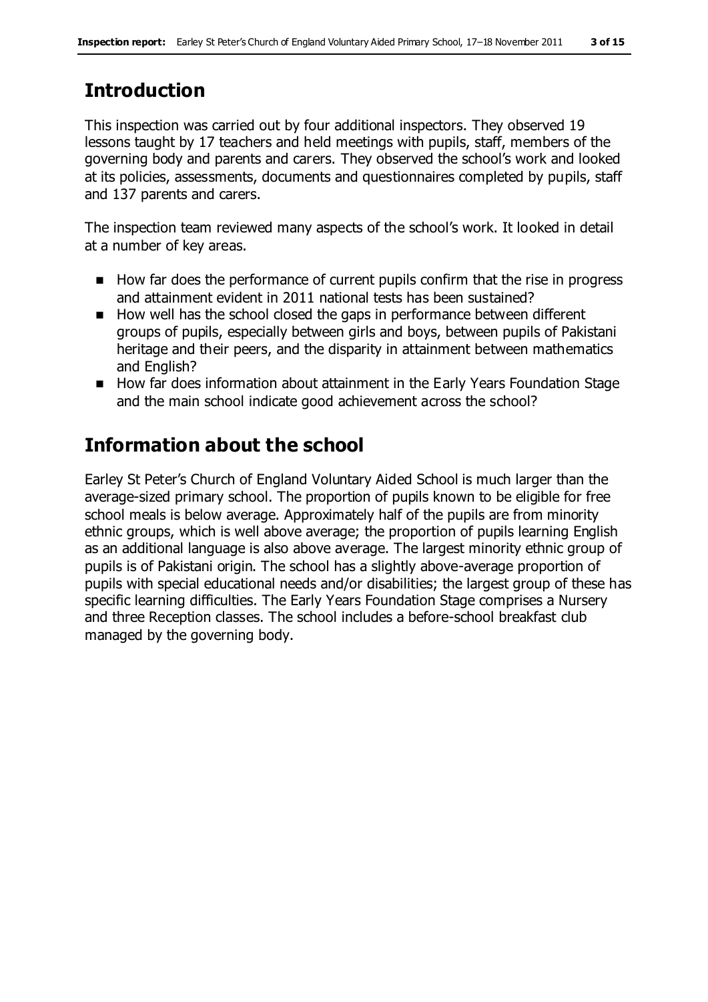## **Introduction**

This inspection was carried out by four additional inspectors. They observed 19 lessons taught by 17 teachers and held meetings with pupils, staff, members of the governing body and parents and carers. They observed the school's work and looked at its policies, assessments, documents and questionnaires completed by pupils, staff and 137 parents and carers.

The inspection team reviewed many aspects of the school's work. It looked in detail at a number of key areas.

- How far does the performance of current pupils confirm that the rise in progress and attainment evident in 2011 national tests has been sustained?
- How well has the school closed the gaps in performance between different groups of pupils, especially between girls and boys, between pupils of Pakistani heritage and their peers, and the disparity in attainment between mathematics and English?
- How far does information about attainment in the Early Years Foundation Stage and the main school indicate good achievement across the school?

# **Information about the school**

Earley St Peter's Church of England Voluntary Aided School is much larger than the average-sized primary school. The proportion of pupils known to be eligible for free school meals is below average. Approximately half of the pupils are from minority ethnic groups, which is well above average; the proportion of pupils learning English as an additional language is also above average. The largest minority ethnic group of pupils is of Pakistani origin. The school has a slightly above-average proportion of pupils with special educational needs and/or disabilities; the largest group of these has specific learning difficulties. The Early Years Foundation Stage comprises a Nursery and three Reception classes. The school includes a before-school breakfast club managed by the governing body.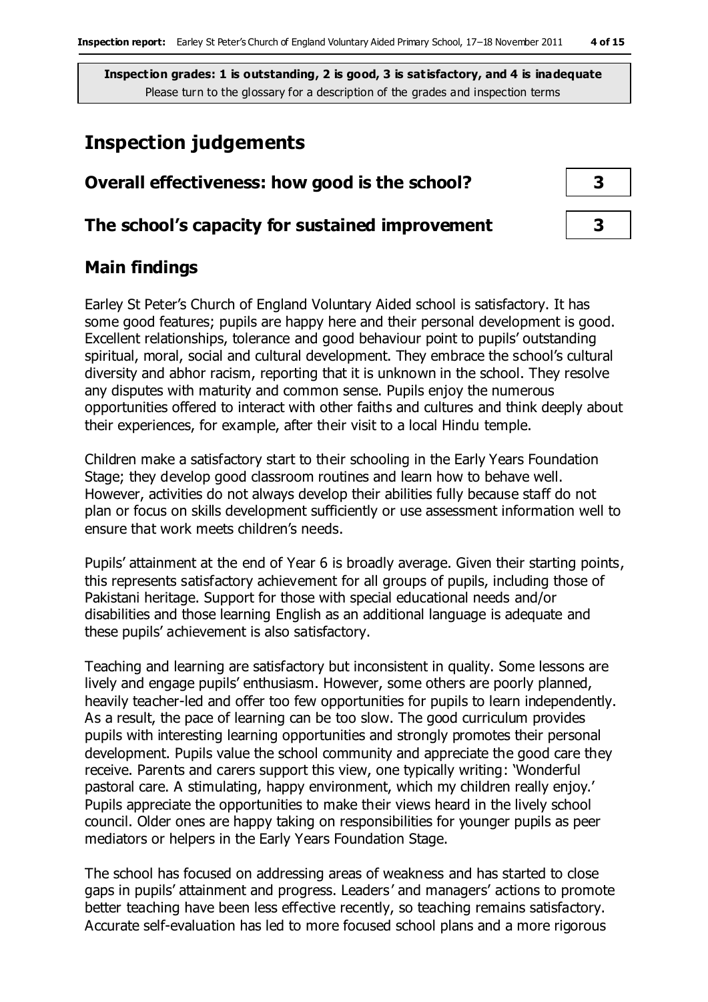## **Inspection judgements**

| Overall effectiveness: how good is the school?  |  |  |
|-------------------------------------------------|--|--|
| The school's capacity for sustained improvement |  |  |

### **Main findings**

Earley St Peter's Church of England Voluntary Aided school is satisfactory. It has some good features; pupils are happy here and their personal development is good. Excellent relationships, tolerance and good behaviour point to pupils' outstanding spiritual, moral, social and cultural development. They embrace the school's cultural diversity and abhor racism, reporting that it is unknown in the school. They resolve any disputes with maturity and common sense. Pupils enjoy the numerous opportunities offered to interact with other faiths and cultures and think deeply about their experiences, for example, after their visit to a local Hindu temple.

Children make a satisfactory start to their schooling in the Early Years Foundation Stage; they develop good classroom routines and learn how to behave well. However, activities do not always develop their abilities fully because staff do not plan or focus on skills development sufficiently or use assessment information well to ensure that work meets children's needs.

Pupils' attainment at the end of Year 6 is broadly average. Given their starting points, this represents satisfactory achievement for all groups of pupils, including those of Pakistani heritage. Support for those with special educational needs and/or disabilities and those learning English as an additional language is adequate and these pupils' achievement is also satisfactory.

Teaching and learning are satisfactory but inconsistent in quality. Some lessons are lively and engage pupils' enthusiasm. However, some others are poorly planned, heavily teacher-led and offer too few opportunities for pupils to learn independently. As a result, the pace of learning can be too slow. The good curriculum provides pupils with interesting learning opportunities and strongly promotes their personal development. Pupils value the school community and appreciate the good care they receive. Parents and carers support this view, one typically writing: 'Wonderful pastoral care. A stimulating, happy environment, which my children really enjoy.' Pupils appreciate the opportunities to make their views heard in the lively school council. Older ones are happy taking on responsibilities for younger pupils as peer mediators or helpers in the Early Years Foundation Stage.

The school has focused on addressing areas of weakness and has started to close gaps in pupils' attainment and progress. Leaders' and managers' actions to promote better teaching have been less effective recently, so teaching remains satisfactory. Accurate self-evaluation has led to more focused school plans and a more rigorous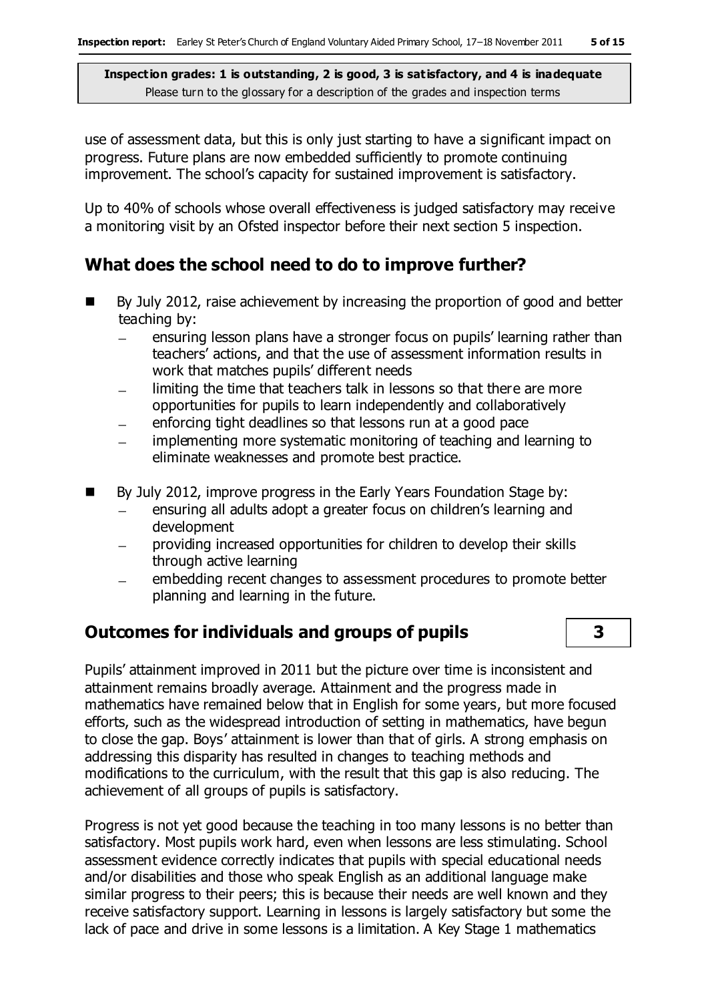use of assessment data, but this is only just starting to have a significant impact on progress. Future plans are now embedded sufficiently to promote continuing improvement. The school's capacity for sustained improvement is satisfactory.

Up to 40% of schools whose overall effectiveness is judged satisfactory may receive a monitoring visit by an Ofsted inspector before their next section 5 inspection.

#### **What does the school need to do to improve further?**

- By July 2012, raise achievement by increasing the proportion of good and better teaching by:
	- ensuring lesson plans have a stronger focus on pupils' learning rather than teachers' actions, and that the use of assessment information results in work that matches pupils' different needs
	- limiting the time that teachers talk in lessons so that there are more opportunities for pupils to learn independently and collaboratively
	- enforcing tight deadlines so that lessons run at a good pace
	- implementing more systematic monitoring of teaching and learning to eliminate weaknesses and promote best practice.
- By July 2012, improve progress in the Early Years Foundation Stage by:
	- ensuring all adults adopt a greater focus on children's learning and  $\qquad \qquad$ development
	- providing increased opportunities for children to develop their skills through active learning
	- embedding recent changes to assessment procedures to promote better planning and learning in the future.

## **Outcomes for individuals and groups of pupils 3**

Pupils' attainment improved in 2011 but the picture over time is inconsistent and attainment remains broadly average. Attainment and the progress made in mathematics have remained below that in English for some years, but more focused efforts, such as the widespread introduction of setting in mathematics, have begun to close the gap. Boys' attainment is lower than that of girls. A strong emphasis on addressing this disparity has resulted in changes to teaching methods and modifications to the curriculum, with the result that this gap is also reducing. The achievement of all groups of pupils is satisfactory.

Progress is not yet good because the teaching in too many lessons is no better than satisfactory. Most pupils work hard, even when lessons are less stimulating. School assessment evidence correctly indicates that pupils with special educational needs and/or disabilities and those who speak English as an additional language make similar progress to their peers; this is because their needs are well known and they receive satisfactory support. Learning in lessons is largely satisfactory but some the lack of pace and drive in some lessons is a limitation. A Key Stage 1 mathematics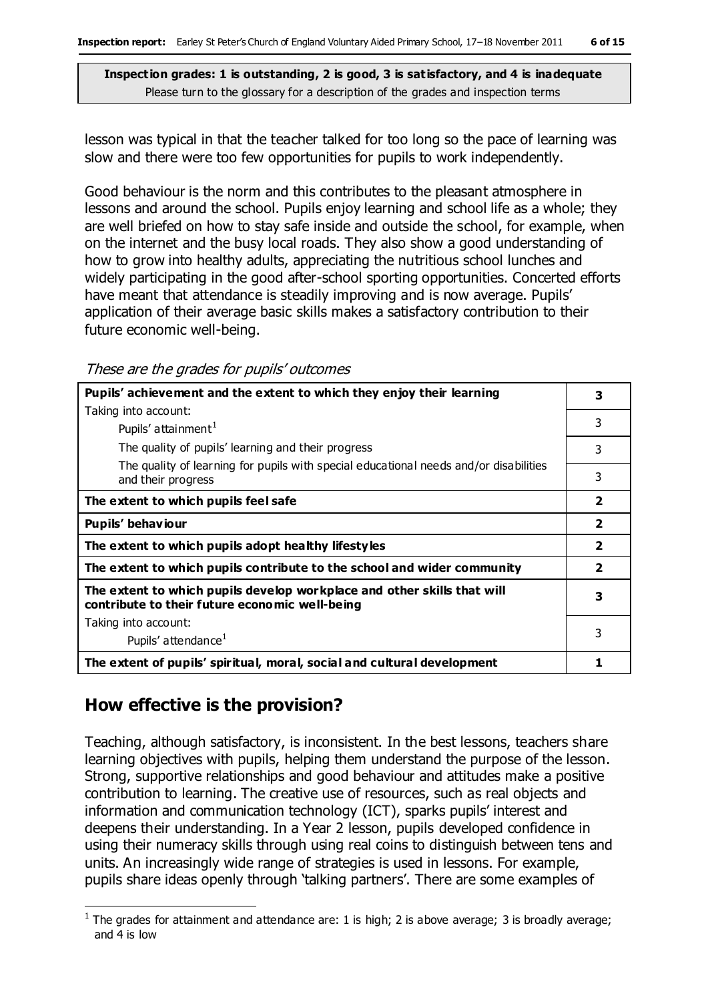lesson was typical in that the teacher talked for too long so the pace of learning was slow and there were too few opportunities for pupils to work independently.

Good behaviour is the norm and this contributes to the pleasant atmosphere in lessons and around the school. Pupils enjoy learning and school life as a whole; they are well briefed on how to stay safe inside and outside the school, for example, when on the internet and the busy local roads. They also show a good understanding of how to grow into healthy adults, appreciating the nutritious school lunches and widely participating in the good after-school sporting opportunities. Concerted efforts have meant that attendance is steadily improving and is now average. Pupils' application of their average basic skills makes a satisfactory contribution to their future economic well-being.

These are the grades for pupils' outcomes

| Pupils' achievement and the extent to which they enjoy their learning                                                     |                         |
|---------------------------------------------------------------------------------------------------------------------------|-------------------------|
| Taking into account:                                                                                                      |                         |
| Pupils' attainment <sup>1</sup>                                                                                           | 3                       |
| The quality of pupils' learning and their progress                                                                        | 3                       |
| The quality of learning for pupils with special educational needs and/or disabilities<br>and their progress               | 3                       |
| The extent to which pupils feel safe                                                                                      | $\overline{2}$          |
| Pupils' behaviour                                                                                                         | $\overline{\mathbf{2}}$ |
| The extent to which pupils adopt healthy lifestyles                                                                       | $\overline{\mathbf{2}}$ |
| The extent to which pupils contribute to the school and wider community                                                   | $\overline{\mathbf{2}}$ |
| The extent to which pupils develop workplace and other skills that will<br>contribute to their future economic well-being | 3                       |
| Taking into account:                                                                                                      |                         |
| Pupils' attendance <sup>1</sup>                                                                                           | 3                       |
| The extent of pupils' spiritual, moral, social and cultural development                                                   |                         |

#### **How effective is the provision?**

 $\overline{a}$ 

Teaching, although satisfactory, is inconsistent. In the best lessons, teachers share learning objectives with pupils, helping them understand the purpose of the lesson. Strong, supportive relationships and good behaviour and attitudes make a positive contribution to learning. The creative use of resources, such as real objects and information and communication technology (ICT), sparks pupils' interest and deepens their understanding. In a Year 2 lesson, pupils developed confidence in using their numeracy skills through using real coins to distinguish between tens and units. An increasingly wide range of strategies is used in lessons. For example, pupils share ideas openly through 'talking partners'. There are some examples of

<sup>&</sup>lt;sup>1</sup> The grades for attainment and attendance are: 1 is high; 2 is above average; 3 is broadly average; and 4 is low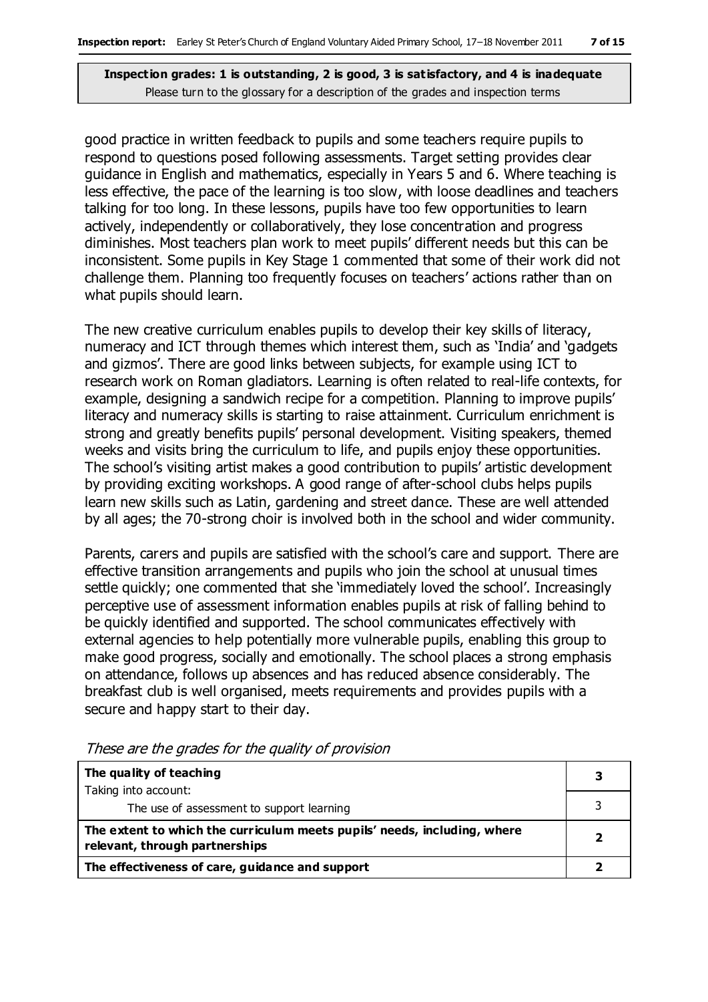good practice in written feedback to pupils and some teachers require pupils to respond to questions posed following assessments. Target setting provides clear guidance in English and mathematics, especially in Years 5 and 6. Where teaching is less effective, the pace of the learning is too slow, with loose deadlines and teachers talking for too long. In these lessons, pupils have too few opportunities to learn actively, independently or collaboratively, they lose concentration and progress diminishes. Most teachers plan work to meet pupils' different needs but this can be inconsistent. Some pupils in Key Stage 1 commented that some of their work did not challenge them. Planning too frequently focuses on teachers' actions rather than on what pupils should learn.

The new creative curriculum enables pupils to develop their key skills of literacy, numeracy and ICT through themes which interest them, such as 'India' and 'gadgets and gizmos'. There are good links between subjects, for example using ICT to research work on Roman gladiators. Learning is often related to real-life contexts, for example, designing a sandwich recipe for a competition. Planning to improve pupils' literacy and numeracy skills is starting to raise attainment. Curriculum enrichment is strong and greatly benefits pupils' personal development. Visiting speakers, themed weeks and visits bring the curriculum to life, and pupils enjoy these opportunities. The school's visiting artist makes a good contribution to pupils' artistic development by providing exciting workshops. A good range of after-school clubs helps pupils learn new skills such as Latin, gardening and street dance. These are well attended by all ages; the 70-strong choir is involved both in the school and wider community.

Parents, carers and pupils are satisfied with the school's care and support. There are effective transition arrangements and pupils who join the school at unusual times settle quickly; one commented that she 'immediately loved the school'. Increasingly perceptive use of assessment information enables pupils at risk of falling behind to be quickly identified and supported. The school communicates effectively with external agencies to help potentially more vulnerable pupils, enabling this group to make good progress, socially and emotionally. The school places a strong emphasis on attendance, follows up absences and has reduced absence considerably. The breakfast club is well organised, meets requirements and provides pupils with a secure and happy start to their day.

| The quality of teaching                                                                                    |  |
|------------------------------------------------------------------------------------------------------------|--|
| Taking into account:                                                                                       |  |
| The use of assessment to support learning                                                                  |  |
| The extent to which the curriculum meets pupils' needs, including, where<br>relevant, through partnerships |  |
| The effectiveness of care, guidance and support                                                            |  |

These are the grades for the quality of provision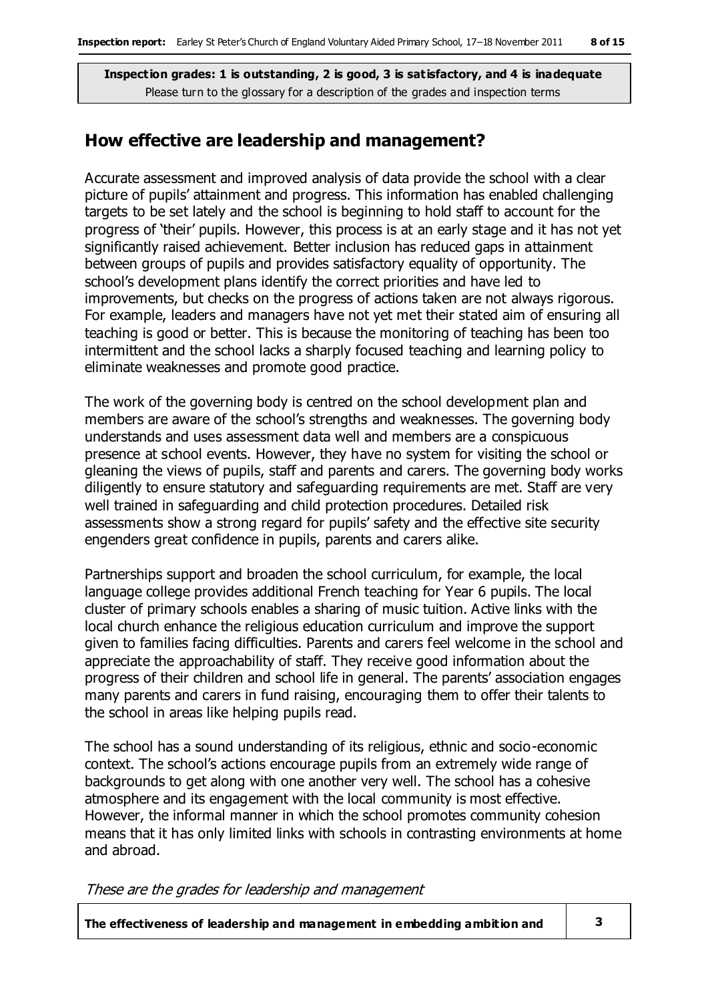#### **How effective are leadership and management?**

Accurate assessment and improved analysis of data provide the school with a clear picture of pupils' attainment and progress. This information has enabled challenging targets to be set lately and the school is beginning to hold staff to account for the progress of 'their' pupils. However, this process is at an early stage and it has not yet significantly raised achievement. Better inclusion has reduced gaps in attainment between groups of pupils and provides satisfactory equality of opportunity. The school's development plans identify the correct priorities and have led to improvements, but checks on the progress of actions taken are not always rigorous. For example, leaders and managers have not yet met their stated aim of ensuring all teaching is good or better. This is because the monitoring of teaching has been too intermittent and the school lacks a sharply focused teaching and learning policy to eliminate weaknesses and promote good practice.

The work of the governing body is centred on the school development plan and members are aware of the school's strengths and weaknesses. The governing body understands and uses assessment data well and members are a conspicuous presence at school events. However, they have no system for visiting the school or gleaning the views of pupils, staff and parents and carers. The governing body works diligently to ensure statutory and safeguarding requirements are met. Staff are very well trained in safeguarding and child protection procedures. Detailed risk assessments show a strong regard for pupils' safety and the effective site security engenders great confidence in pupils, parents and carers alike.

Partnerships support and broaden the school curriculum, for example, the local language college provides additional French teaching for Year 6 pupils. The local cluster of primary schools enables a sharing of music tuition. Active links with the local church enhance the religious education curriculum and improve the support given to families facing difficulties. Parents and carers feel welcome in the school and appreciate the approachability of staff. They receive good information about the progress of their children and school life in general. The parents' association engages many parents and carers in fund raising, encouraging them to offer their talents to the school in areas like helping pupils read.

The school has a sound understanding of its religious, ethnic and socio-economic context. The school's actions encourage pupils from an extremely wide range of backgrounds to get along with one another very well. The school has a cohesive atmosphere and its engagement with the local community is most effective. However, the informal manner in which the school promotes community cohesion means that it has only limited links with schools in contrasting environments at home and abroad.

These are the grades for leadership and management

**The effectiveness of leadership and management in embedding ambition and 3**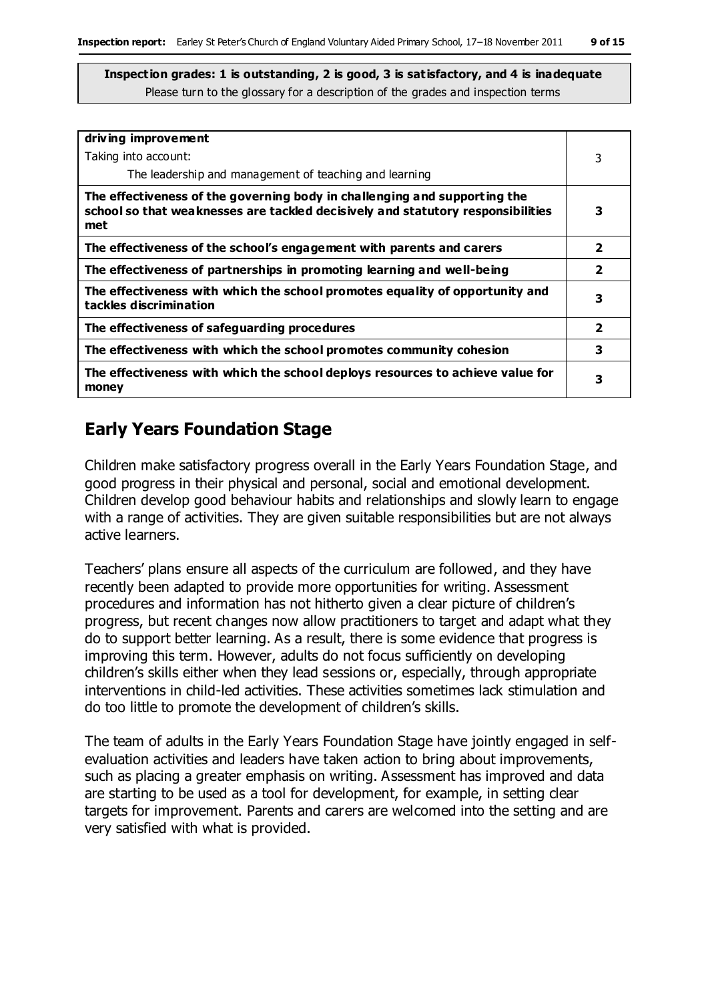| driving improvement                                                                                                                                                 |                         |
|---------------------------------------------------------------------------------------------------------------------------------------------------------------------|-------------------------|
| Taking into account:                                                                                                                                                | 3                       |
| The leadership and management of teaching and learning                                                                                                              |                         |
| The effectiveness of the governing body in challenging and supporting the<br>school so that weaknesses are tackled decisively and statutory responsibilities<br>met | 3                       |
| The effectiveness of the school's engagement with parents and carers                                                                                                | 2                       |
| The effectiveness of partnerships in promoting learning and well-being                                                                                              | $\overline{\mathbf{2}}$ |
| The effectiveness with which the school promotes equality of opportunity and<br>tackles discrimination                                                              | 3                       |
| The effectiveness of safeguarding procedures                                                                                                                        | $\overline{\mathbf{2}}$ |
| The effectiveness with which the school promotes community cohesion                                                                                                 | 3                       |
| The effectiveness with which the school deploys resources to achieve value for<br>money                                                                             | 3                       |

#### **Early Years Foundation Stage**

Children make satisfactory progress overall in the Early Years Foundation Stage, and good progress in their physical and personal, social and emotional development. Children develop good behaviour habits and relationships and slowly learn to engage with a range of activities. They are given suitable responsibilities but are not always active learners.

Teachers' plans ensure all aspects of the curriculum are followed, and they have recently been adapted to provide more opportunities for writing. Assessment procedures and information has not hitherto given a clear picture of children's progress, but recent changes now allow practitioners to target and adapt what they do to support better learning. As a result, there is some evidence that progress is improving this term. However, adults do not focus sufficiently on developing children's skills either when they lead sessions or, especially, through appropriate interventions in child-led activities. These activities sometimes lack stimulation and do too little to promote the development of children's skills.

The team of adults in the Early Years Foundation Stage have jointly engaged in selfevaluation activities and leaders have taken action to bring about improvements, such as placing a greater emphasis on writing. Assessment has improved and data are starting to be used as a tool for development, for example, in setting clear targets for improvement. Parents and carers are welcomed into the setting and are very satisfied with what is provided.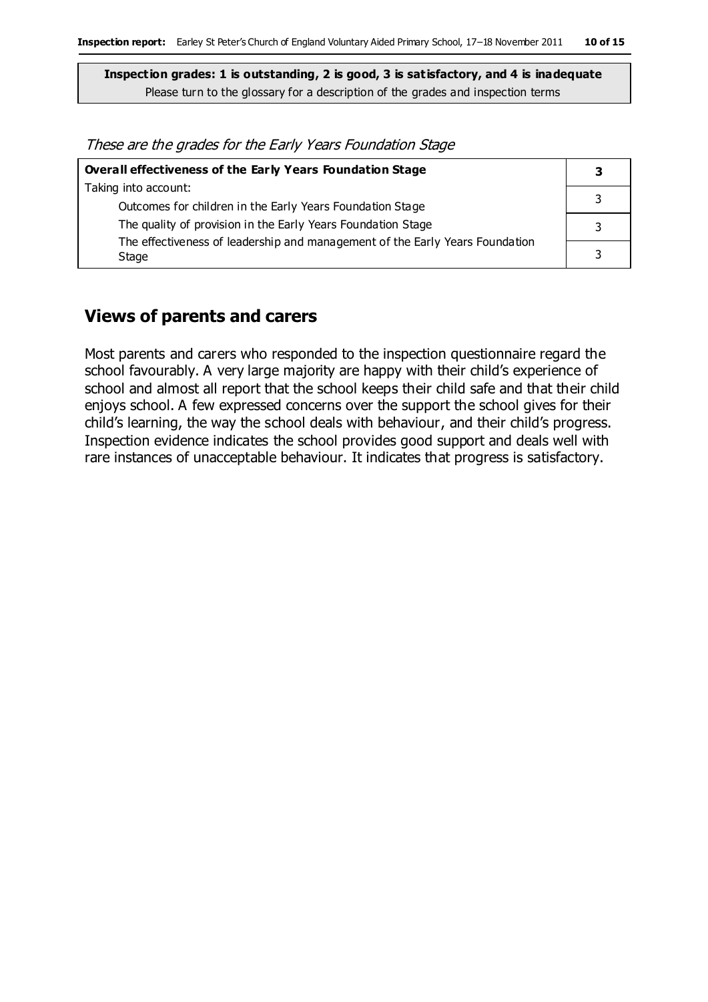These are the grades for the Early Years Foundation Stage

| Overall effectiveness of the Early Years Foundation Stage                    |  |
|------------------------------------------------------------------------------|--|
| Taking into account:                                                         |  |
| Outcomes for children in the Early Years Foundation Stage                    |  |
| The quality of provision in the Early Years Foundation Stage                 |  |
| The effectiveness of leadership and management of the Early Years Foundation |  |
| Stage                                                                        |  |

#### **Views of parents and carers**

Most parents and carers who responded to the inspection questionnaire regard the school favourably. A very large majority are happy with their child's experience of school and almost all report that the school keeps their child safe and that their child enjoys school. A few expressed concerns over the support the school gives for their child's learning, the way the school deals with behaviour, and their child's progress. Inspection evidence indicates the school provides good support and deals well with rare instances of unacceptable behaviour. It indicates that progress is satisfactory.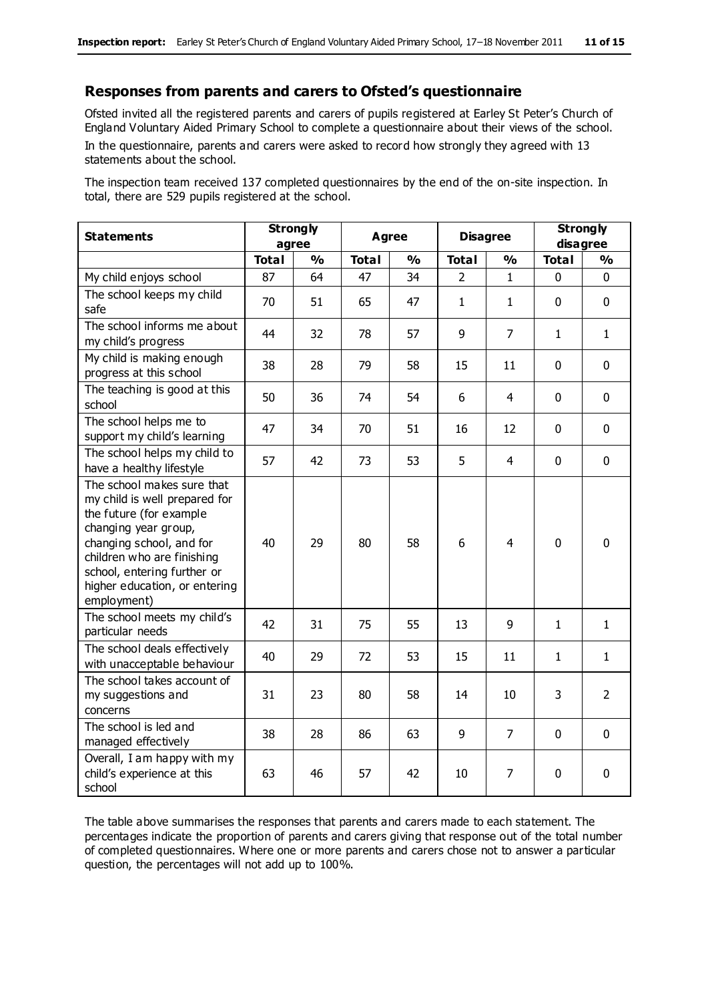#### **Responses from parents and carers to Ofsted's questionnaire**

Ofsted invited all the registered parents and carers of pupils registered at Earley St Peter's Church of England Voluntary Aided Primary School to complete a questionnaire about their views of the school. In the questionnaire, parents and carers were asked to record how strongly they agreed with 13 statements about the school.

The inspection team received 137 completed questionnaires by the end of the on-site inspection. In total, there are 529 pupils registered at the school.

| <b>Statements</b>                                                                                                                                                                                                                                       | <b>Strongly</b><br>agree |               | Agree        |               | <b>Disagree</b> |                | <b>Strongly</b><br>disagree |                |
|---------------------------------------------------------------------------------------------------------------------------------------------------------------------------------------------------------------------------------------------------------|--------------------------|---------------|--------------|---------------|-----------------|----------------|-----------------------------|----------------|
|                                                                                                                                                                                                                                                         | <b>Total</b>             | $\frac{1}{2}$ | <b>Total</b> | $\frac{9}{6}$ | <b>Total</b>    | $\frac{1}{2}$  | <b>Total</b>                | $\frac{1}{2}$  |
| My child enjoys school                                                                                                                                                                                                                                  | 87                       | 64            | 47           | 34            | $\overline{2}$  | $\mathbf{1}$   | $\mathbf 0$                 | $\mathbf 0$    |
| The school keeps my child<br>safe                                                                                                                                                                                                                       | 70                       | 51            | 65           | 47            | $\mathbf{1}$    | 1              | $\mathbf 0$                 | $\mathbf 0$    |
| The school informs me about<br>my child's progress                                                                                                                                                                                                      | 44                       | 32            | 78           | 57            | 9               | $\overline{7}$ | $\mathbf{1}$                | $\mathbf{1}$   |
| My child is making enough<br>progress at this school                                                                                                                                                                                                    | 38                       | 28            | 79           | 58            | 15              | 11             | $\mathbf 0$                 | $\mathbf 0$    |
| The teaching is good at this<br>school                                                                                                                                                                                                                  | 50                       | 36            | 74           | 54            | 6               | 4              | $\Omega$                    | $\mathbf 0$    |
| The school helps me to<br>support my child's learning                                                                                                                                                                                                   | 47                       | 34            | 70           | 51            | 16              | 12             | $\mathbf 0$                 | $\mathbf 0$    |
| The school helps my child to<br>have a healthy lifestyle                                                                                                                                                                                                | 57                       | 42            | 73           | 53            | 5               | 4              | $\mathbf 0$                 | $\pmb{0}$      |
| The school makes sure that<br>my child is well prepared for<br>the future (for example<br>changing year group,<br>changing school, and for<br>children who are finishing<br>school, entering further or<br>higher education, or entering<br>employment) | 40                       | 29            | 80           | 58            | 6               | $\overline{4}$ | $\mathbf 0$                 | $\mathbf 0$    |
| The school meets my child's<br>particular needs                                                                                                                                                                                                         | 42                       | 31            | 75           | 55            | 13              | 9              | 1                           | $\mathbf{1}$   |
| The school deals effectively<br>with unacceptable behaviour                                                                                                                                                                                             | 40                       | 29            | 72           | 53            | 15              | 11             | $\mathbf{1}$                | $\mathbf{1}$   |
| The school takes account of<br>my suggestions and<br>concerns                                                                                                                                                                                           | 31                       | 23            | 80           | 58            | 14              | 10             | 3                           | $\overline{2}$ |
| The school is led and<br>managed effectively                                                                                                                                                                                                            | 38                       | 28            | 86           | 63            | 9               | $\overline{7}$ | $\mathbf 0$                 | $\mathbf 0$    |
| Overall, I am happy with my<br>child's experience at this<br>school                                                                                                                                                                                     | 63                       | 46            | 57           | 42            | 10              | 7              | $\mathbf 0$                 | $\pmb{0}$      |

The table above summarises the responses that parents and carers made to each statement. The percentages indicate the proportion of parents and carers giving that response out of the total number of completed questionnaires. Where one or more parents and carers chose not to answer a particular question, the percentages will not add up to 100%.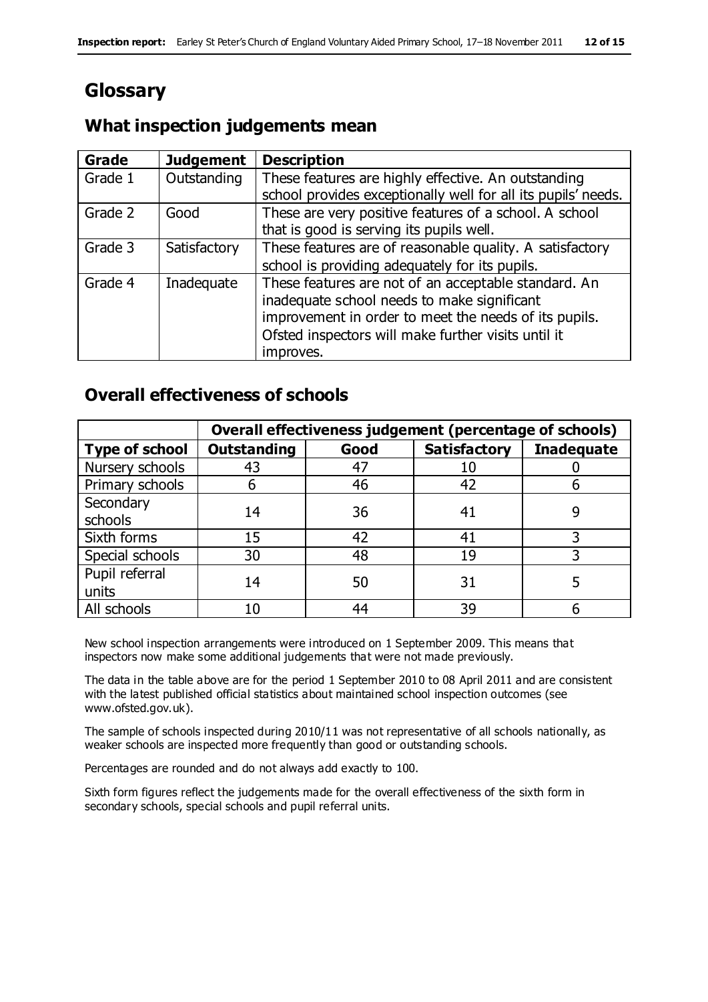# **Glossary**

#### **What inspection judgements mean**

| <b>Grade</b> | <b>Judgement</b> | <b>Description</b>                                                                                                   |
|--------------|------------------|----------------------------------------------------------------------------------------------------------------------|
| Grade 1      | Outstanding      | These features are highly effective. An outstanding<br>school provides exceptionally well for all its pupils' needs. |
|              |                  |                                                                                                                      |
| Grade 2      | Good             | These are very positive features of a school. A school                                                               |
|              |                  | that is good is serving its pupils well.                                                                             |
| Grade 3      | Satisfactory     | These features are of reasonable quality. A satisfactory                                                             |
|              |                  | school is providing adequately for its pupils.                                                                       |
| Grade 4      | Inadequate       | These features are not of an acceptable standard. An                                                                 |
|              |                  | inadequate school needs to make significant                                                                          |
|              |                  | improvement in order to meet the needs of its pupils.                                                                |
|              |                  | Ofsted inspectors will make further visits until it                                                                  |
|              |                  | improves.                                                                                                            |

#### **Overall effectiveness of schools**

|                       |                    |      | Overall effectiveness judgement (percentage of schools) |                   |  |
|-----------------------|--------------------|------|---------------------------------------------------------|-------------------|--|
| <b>Type of school</b> | <b>Outstanding</b> | Good | <b>Satisfactory</b>                                     | <b>Inadequate</b> |  |
| Nursery schools       | 43                 | 47   | 10                                                      |                   |  |
| Primary schools       | ჩ                  | 46   | 42                                                      |                   |  |
| Secondary             | 14                 | 36   | 41                                                      |                   |  |
| schools               |                    |      |                                                         |                   |  |
| Sixth forms           | 15                 | 42   | 41                                                      |                   |  |
| Special schools       | 30                 | 48   | 19                                                      |                   |  |
| Pupil referral        | 14                 | 50   | 31                                                      |                   |  |
| units                 |                    |      |                                                         |                   |  |
| All schools           | 10                 | 44   | 39                                                      |                   |  |

New school inspection arrangements were introduced on 1 September 2009. This means that inspectors now make some additional judgements that were not made previously.

The data in the table above are for the period 1 September 2010 to 08 April 2011 and are consistent with the latest published official statistics about maintained school inspection outcomes (see www.ofsted.gov.uk).

The sample of schools inspected during 2010/11 was not representative of all schools nationally, as weaker schools are inspected more frequently than good or outstanding schools.

Percentages are rounded and do not always add exactly to 100.

Sixth form figures reflect the judgements made for the overall effectiveness of the sixth form in secondary schools, special schools and pupil referral units.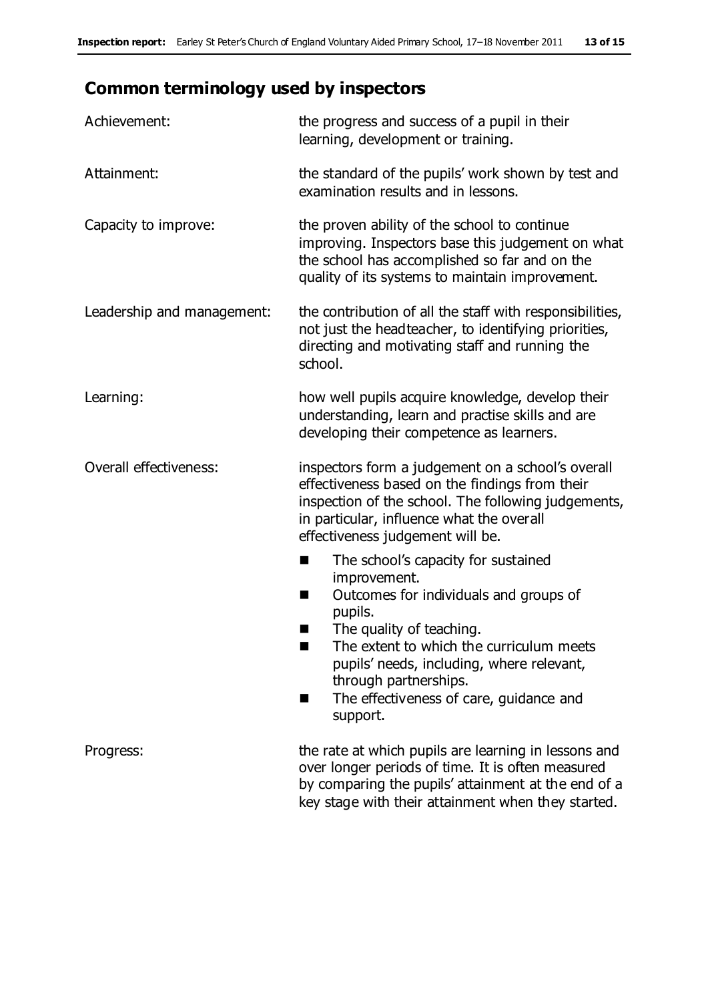## **Common terminology used by inspectors**

| Achievement:               | the progress and success of a pupil in their<br>learning, development or training.                                                                                                                                                                                                                                           |  |  |
|----------------------------|------------------------------------------------------------------------------------------------------------------------------------------------------------------------------------------------------------------------------------------------------------------------------------------------------------------------------|--|--|
| Attainment:                | the standard of the pupils' work shown by test and<br>examination results and in lessons.                                                                                                                                                                                                                                    |  |  |
| Capacity to improve:       | the proven ability of the school to continue<br>improving. Inspectors base this judgement on what<br>the school has accomplished so far and on the<br>quality of its systems to maintain improvement.                                                                                                                        |  |  |
| Leadership and management: | the contribution of all the staff with responsibilities,<br>not just the headteacher, to identifying priorities,<br>directing and motivating staff and running the<br>school.                                                                                                                                                |  |  |
| Learning:                  | how well pupils acquire knowledge, develop their<br>understanding, learn and practise skills and are<br>developing their competence as learners.                                                                                                                                                                             |  |  |
| Overall effectiveness:     | inspectors form a judgement on a school's overall<br>effectiveness based on the findings from their<br>inspection of the school. The following judgements,<br>in particular, influence what the overall<br>effectiveness judgement will be.                                                                                  |  |  |
|                            | The school's capacity for sustained<br>improvement.<br>Outcomes for individuals and groups of<br>H<br>pupils.<br>The quality of teaching.<br>×<br>The extent to which the curriculum meets<br>pupils' needs, including, where relevant,<br>through partnerships.<br>The effectiveness of care, guidance and<br>H<br>support. |  |  |
| Progress:                  | the rate at which pupils are learning in lessons and<br>over longer periods of time. It is often measured<br>by comparing the pupils' attainment at the end of a<br>key stage with their attainment when they started.                                                                                                       |  |  |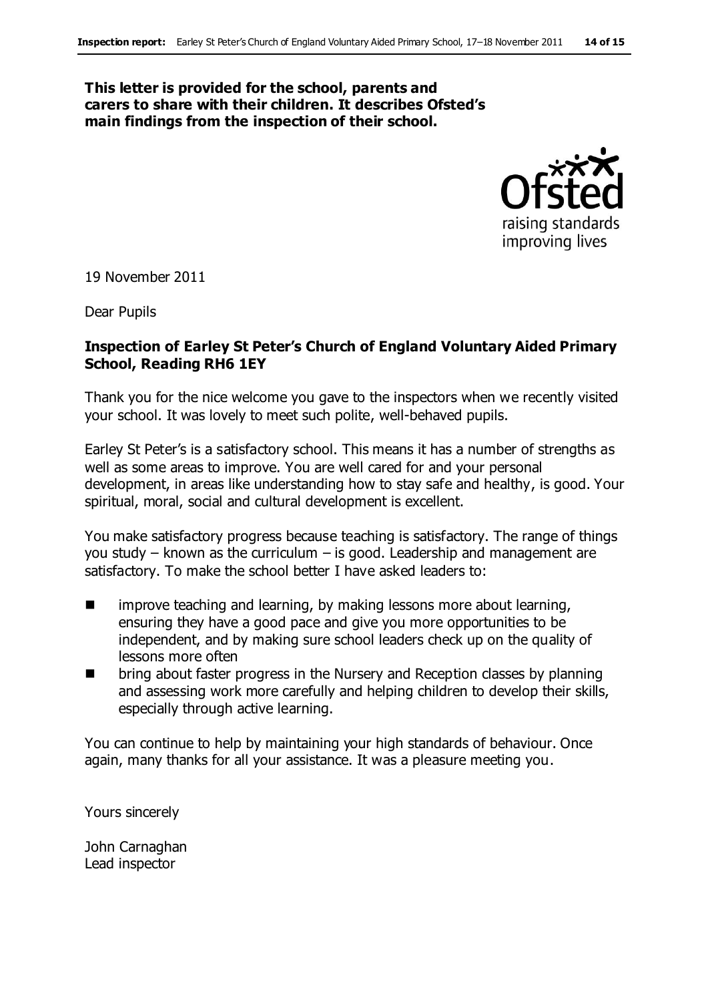#### **This letter is provided for the school, parents and carers to share with their children. It describes Ofsted's main findings from the inspection of their school.**



19 November 2011

Dear Pupils

#### **Inspection of Earley St Peter's Church of England Voluntary Aided Primary School, Reading RH6 1EY**

Thank you for the nice welcome you gave to the inspectors when we recently visited your school. It was lovely to meet such polite, well-behaved pupils.

Earley St Peter's is a satisfactory school. This means it has a number of strengths as well as some areas to improve. You are well cared for and your personal development, in areas like understanding how to stay safe and healthy, is good. Your spiritual, moral, social and cultural development is excellent.

You make satisfactory progress because teaching is satisfactory. The range of things you study – known as the curriculum – is good. Leadership and management are satisfactory. To make the school better I have asked leaders to:

- $\blacksquare$  improve teaching and learning, by making lessons more about learning, ensuring they have a good pace and give you more opportunities to be independent, and by making sure school leaders check up on the quality of lessons more often
- **The Stephen Stephen Stephen Stephen Stephen III** bring about faster progress in the Nursery and Reception classes by planning and assessing work more carefully and helping children to develop their skills, especially through active learning.

You can continue to help by maintaining your high standards of behaviour. Once again, many thanks for all your assistance. It was a pleasure meeting you.

Yours sincerely

John Carnaghan Lead inspector